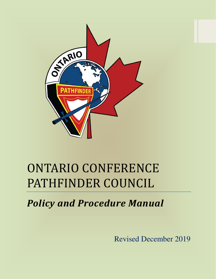

# ONTARIO CONFERENCE PATHFINDER COUNCIL

*Policy and Procedure Manual*

Revised December 2019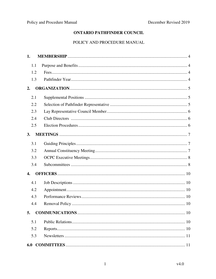# **ONTARIO PATHFINDER COUNCIL**

# POLICY AND PROCEDURE MANUAL

| 1.  |  |
|-----|--|
| 1.1 |  |
| 1.2 |  |
| 1.3 |  |
| 2.  |  |
| 2.1 |  |
| 2.2 |  |
| 2.3 |  |
| 2.4 |  |
| 2.5 |  |
| 3.  |  |
| 3.1 |  |
| 3.2 |  |
| 3.3 |  |
| 3.4 |  |
| 4.  |  |
| 4.1 |  |
| 4.2 |  |
| 4.3 |  |
| 4.4 |  |
| 5.  |  |
| 5.1 |  |
| 5.2 |  |
| 5.3 |  |
|     |  |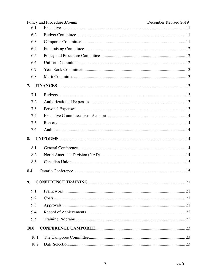|      | Policy and Procedure Manual | December Revised 2019 |
|------|-----------------------------|-----------------------|
| 6.1  |                             |                       |
| 6.2  |                             |                       |
| 6.3  |                             |                       |
| 6.4  |                             |                       |
| 6.5  |                             |                       |
| 6.6  |                             |                       |
| 6.7  |                             |                       |
| 6.8  |                             |                       |
| 7.   |                             |                       |
| 7.1  |                             |                       |
| 7.2  |                             |                       |
| 7.3  |                             |                       |
| 7.4  |                             |                       |
| 7.5  |                             |                       |
| 7.6  |                             |                       |
| 8.   |                             |                       |
| 8.1  |                             |                       |
| 8.2  |                             |                       |
| 8.3  |                             |                       |
| 8.4  |                             |                       |
| 9.   |                             |                       |
| 9.1  |                             |                       |
| 9.2  |                             |                       |
| 9.3  |                             |                       |
| 9.4  |                             |                       |
| 9.5  |                             |                       |
| 10.0 |                             |                       |
| 10.1 |                             |                       |
| 10.2 |                             |                       |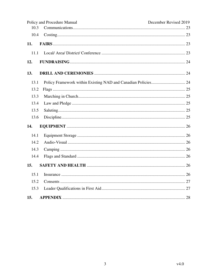| 10.3 | Policy and Procedure Manual | December Revised 2019 |
|------|-----------------------------|-----------------------|
| 10.4 |                             |                       |
| 11.  |                             |                       |
| 11.1 |                             |                       |
| 12.  |                             |                       |
| 13.  |                             |                       |
| 13.1 |                             |                       |
| 13.2 |                             |                       |
| 13.3 |                             |                       |
| 13.4 |                             |                       |
| 13.5 |                             |                       |
| 13.6 |                             |                       |
| 14.  |                             |                       |
| 14.1 |                             |                       |
| 14.2 |                             |                       |
| 14.3 |                             |                       |
| 14.4 |                             |                       |
| 15.  |                             |                       |
| 15.1 |                             |                       |
| 15.2 |                             |                       |
| 15.3 |                             |                       |
| 15.  |                             |                       |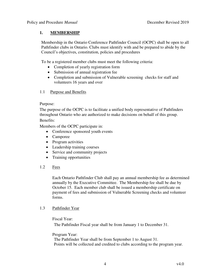# **1. MEMBERSHIP**

Membership in the Ontario Conference Pathfinder Council (OCPC) shall be open to all Pathfinder clubs in Ontario. Clubs must identify with and be prepared to abide by the Council's objectives, constitution, policies and procedures

To be a registered member clubs must meet the following criteria:

- Completion of yearly registration form
- Submission of annual registration fee
- Completion and submission of Vulnerable screening checks for staff and volunteers 16 years and over

#### 1.1 Purpose and Benefits

#### Purpose:

The purpose of the OCPC is to facilitate a unified body representative of Pathfinders throughout Ontario who are authorized to make decisions on behalf of this group. Benefits:

Members of the OCPC participate in:

- Conference sponsored youth events
- Camporee
- Program activities
- Leadership training courses
- Service and community projects
- Training opportunities
- 1.2 Fees

Each Ontario Pathfinder Club shall pay an annual membership fee as determined annually by the Executive Committee. The Membership fee shall be due by October 15. Each member club shall be issued a membership certificate on payment of fees and submission of Vulnerable Screening checks and volunteer forms.

# 1.3 Pathfinder Year

Fiscal Year:

The Pathfinder Fiscal year shall be from January 1 to December 31.

# Program Year:

The Pathfinder Year shall be from September 1 to August 31. Points will be collected and credited to clubs according to the program year.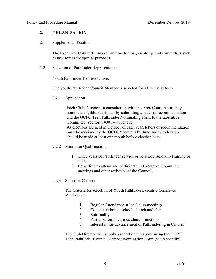# **2. ORGANIZATION**

#### 2.1 Supplemental Positions

The Executive Committee may from time to time, create special committees such as task forces for special purposes.

#### 2.2 Selection of Pathfinder Representative

Youth Pathfinder Representative:

One youth Pathfinder Council Member is selected for a three year term

2.2.1 Application

Each Club Director, in consultation with the Area Coordinator, may nominate eligible Pathfinder by submitting a letter of recommendation and the OCPC Teen Pathfinder Nominating Form to the Executive Committee (see form  $#001$  – appendix).

As elections are held in October of each year, letters of recommendation must be received by the OCPC Secretary by June and withdrawals should be made at least one month before election date.

# 2.2.2 Minimum Qualifications

- 1. Three years of Pathfinder service or be a Counselor-in-Training or TLT.
- 2. Be willing to attend and participate in Executive Committee meetings and other activities of the Council.

# 2.2.3 Selection Criteria

The Criteria for selection of Youth Pathfinder Executive Committee Members are:

- 1. Regular Attendance at local club meetings
- 2. Conduct at home, school, church and club
- 3. Spirituality
- 4. Participation in various church functions
- 5. Interest in the advancement of Pathfindering in Ontario

The Club Director will supply a report on the above using the OCPC Teen Pathfinder Council Member Nomination Form (see Appendix).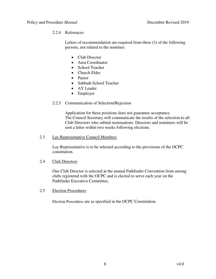# 2.2.4 References

Letters of recommendation are required from three (3) of the following persons, not related to the nominee:

- Club Director
- Area Coordinator
- School Teacher
- Church Elder
- Pastor
- Sabbath School Teacher
- AY Leader
- Employer

# 2.2.5 Communication of Selection/Rejection

Application for these positions does not guarantee acceptance. The Council Secretary will communicate the results of the selection to all Club Directors who submit nominations. Directors and nominees will be sent a letter within two weeks following elections.

#### 2.3 Lay Representative Council Members

Lay Representative is to be selected according to the provisions of the OCPC constitution.

#### 2.4 Club Directors

One Club Director is selected at the annual Pathfinder Convention from among clubs registered with the OCPC and is elected to serve each year on the Pathfinder Executive Committee.

# 2.5 Election Procedures

Election Procedures are as specified in the OCPC Constitution.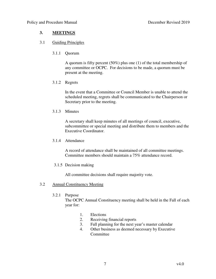# **3. MEETINGS**

# 3.1 Guiding Principles

#### 3.1.1 Quorum

A quorum is fifty percent (50%) plus one (1) of the total membership of any committee or OCPC. For decisions to be made, a quorum must be present at the meeting.

3.1.2 Regrets

In the event that a Committee or Council Member is unable to attend the scheduled meeting, regrets shall be communicated to the Chairperson or Secretary prior to the meeting.

3.1.3 Minutes

A secretary shall keep minutes of all meetings of council, executive, subcommittee or special meeting and distribute them to members and the Executive Coordinator.

3.1.4 Attendance

A record of attendance shall be maintained of all committee meetings. Committee members should maintain a 75% attendance record.

# 3.1.5 Decision making

All committee decisions shall require majority vote.

#### 3.2 Annual Constituency Meeting

#### 3.2.1 Purpose

The OCPC Annual Constituency meeting shall be held in the Fall of each year for:

- 1. Elections
- 2. Receiving financial reports
- 3. Fall planning for the next year's master calendar
- 4. Other business as deemed necessary by Executive Committee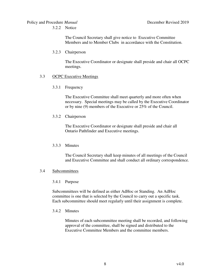#### Policy and Procedure *Manual* December Revised 2019 3.2.2 Notice

The Council Secretary shall give notice to Executive Committee Members and to Member Clubs in accordance with the Constitution.

# 3.2.3 Chairperson

The Executive Coordinator or designate shall preside and chair all OCPC meetings.

# 3.3 OCPC Executive Meetings

# 3.3.1 Frequency

The Executive Committee shall meet quarterly and more often when necessary. Special meetings may be called by the Executive Coordinator or by nine (9) members of the Executive or 25% of the Council.

# 3.3.2 Chairperson

The Executive Coordinator or designate shall preside and chair all Ontario Pathfinder and Executive meetings.

# 3.3.3 Minutes

The Council Secretary shall keep minutes of all meetings of the Council and Executive Committee and shall conduct all ordinary correspondence.

# 3.4 Subcommittees

# 3.4.1 Purpose

Subcommittees will be defined as either AdHoc or Standing. An AdHoc committee is one that is selected by the Council to carry out a specific task. Each subcommittee should meet regularly until their assignment is complete.

# 3.4.2 Minutes

Minutes of each subcommittee meeting shall be recorded, and following approval of the committee, shall be signed and distributed to the Executive Committee Members and the committee members.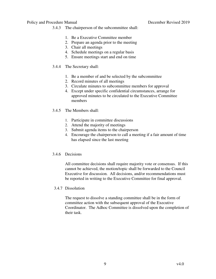- 3.4.3 The chairperson of the subcommittee shall:
	- 1. Be a Executive Committee member
	- 2. Prepare an agenda prior to the meeting
	- 3. Chair all meetings
	- 4. Schedule meetings on a regular basis
	- 5. Ensure meetings start and end on time
- 3.4.4 The Secretary shall:
	- 1. Be a member of and be selected by the subcommittee
	- 2. Record minutes of all meetings
	- 3. Circulate minutes to subcommittee members for approval
	- 4. Except under specific confidential circumstances, arrange for approved minutes to be circulated to the Executive Committee members
- 3.4.5 The Members shall:
	- 1. Participate in committee discussions
	- 2. Attend the majority of meetings
	- 3. Submit agenda items to the chairperson
	- 4. Encourage the chairperson to call a meeting if a fair amount of time has elapsed since the last meeting

#### 3.4.6 Decisions

All committee decisions shall require majority vote or consensus. If this cannot be achieved, the motion/topic shall be forwarded to the Council Executive for discussion. All decisions, and/or recommendations must be reported in writing to the Executive Committee for final approval.

#### 3.4.7 Dissolution

The request to dissolve a standing committee shall be in the form of committee action with the subsequent approval of the Executive Coordinator. The Adhoc Committee is dissolved upon the completion of their task.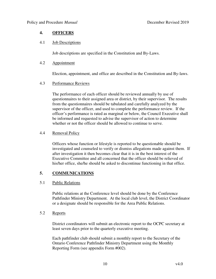# **4. OFFICERS**

#### 4.1 Job Descriptions

Job descriptions are specified in the Constitution and By-Laws.

#### 4.2 Appointment

Election, appointment, and office are described in the Constitution and By-laws.

# 4.3 Performance Reviews

The performance of each officer should be reviewed annually by use of questionnaires to their assigned area or district, by their supervisor. The results from the questionnaires should be tabulated and carefully analyzed by the supervisor of the officer, and used to complete the performance review. If the officer's performance is rated as marginal or below, the Council Executive shall be informed and requested to advise the supervisor of action to determine whether or not the officer should be allowed to continue to serve.

# 4.4 Removal Policy

Officers whose function or lifestyle is reported to be questionable should be investigated and counseled to verify or dismiss allegations made against them. If after investigation it then becomes clear that it is in the best interest of the Executive Committee and all concerned that the officer should be relieved of his/her office, she/he should be asked to discontinue functioning in that office.

# **5. COMMUNICATIONS**

# 5.1 Public Relations

Public relations at the Conference level should be done by the Conference Pathfinder Ministry Department. At the local club level, the District Coordinator or a designate should be responsible for the Area Public Relations.

# 5.2 Reports

District coordinators will submit an electronic report to the OCPC secretary at least seven days prior to the quarterly executive meeting.

Each pathfinder club should submit a monthly report to the Secretary of the Ontario Conference Pathfinder Ministry Department using the Monthly Reporting Form (see appendix Form #002).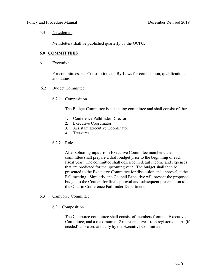#### 5.3 Newsletters

Newsletters shall be published quarterly by the OCPC.

#### **6.0 COMMITTEES**

#### 6.1 Executive

For committees, see Constitution and By-Laws for composition, qualifications and duties.

#### 6.2 Budget Committee

#### 6.2.1 Composition

The Budget Committee is a standing committee and shall consist of the:

- 1. Conference Pathfinder Director
- 2. Executive Coordinator
- 3. Assistant Executive Coordinator
- 4. Treasurer

#### 6.2.2 Role

After soliciting input from Executive Committee members, the committee shall prepare a draft budget prior to the beginning of each fiscal year. The committee shall describe in detail income and expenses that are predicted for the upcoming year. The budget shall then be presented to the Executive Committee for discussion and approval at the Fall meeting. Similarly, the Council Executive will present the proposed budget to the Council for final approval and subsequent presentation to the Ontario Conference Pathfinder Department.

#### 6.3 Camporee Committee

#### 6.3.1 Composition

The Camporee committee shall consist of members from the Executive Committee, and a maximum of 2 representatives from registered clubs (if needed) approved annually by the Executive Committee.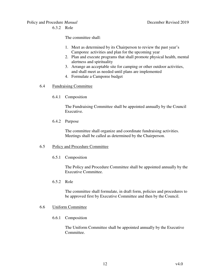6.3.2 Role

The committee shall:

- 1. Meet as determined by its Chairperson to review the past year's Camporee activities and plan for the upcoming year
- 2. Plan and execute programs that shall promote physical health, mental alertness and spirituality
- 3. Arrange an acceptable site for camping or other outdoor activities, and shall meet as needed until plans are implemented
- 4. Formulate a Camporee budget

# 6.4 Fundraising Committee

6.4.1 Composition

The Fundraising Committee shall be appointed annually by the Council Executive.

6.4.2 Purpose

The committee shall organize and coordinate fundraising activities. Meetings shall be called as determined by the Chairperson.

#### 6.5 Policy and Procedure Committee

#### 6.5.1 Composition

The Policy and Procedure Committee shall be appointed annually by the Executive Committee.

6.5.2 Role

The committee shall formulate, in draft form, policies and procedures to be approved first by Executive Committee and then by the Council.

#### 6.6 Uniform Committee

6.6.1 Composition

The Uniform Committee shall be appointed annually by the Executive Committee.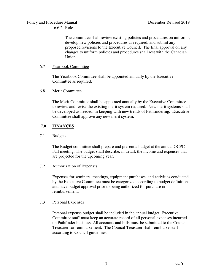The committee shall review existing policies and procedures on uniforms, develop new policies and procedures as required, and submit any proposed revisions to the Executive Council. The final approval on any changes to uniform policies and procedures shall rest with the Canadian Union.

# 6.7 Yearbook Committee

The Yearbook Committee shall be appointed annually by the Executive Committee as required.

#### 6.8 Merit Committee

The Merit Committee shall be appointed annually by the Executive Committee to review and revise the existing merit system required. New merit systems shall be developed as needed, in keeping with new trends of Pathfindering. Executive Committee shall approve any new merit system.

# **7.0 FINANCES**

# 7.1 Budgets

The Budget committee shall prepare and present a budget at the annual OCPC Fall meeting. The budget shall describe, in detail, the income and expenses that are projected for the upcoming year.

# 7.2 Authorization of Expenses

Expenses for seminars, meetings, equipment purchases, and activities conducted by the Executive Committee must be categorized according to budget definitions and have budget approval prior to being authorized for purchase or reimbursement.

#### 7.3 Personal Expenses

Personal expense budget shall be included in the annual budget. Executive Committee staff must keep an accurate record of all personal expenses incurred on Pathfinder business. All accounts and bills must be submitted to the Council Treasurer for reimbursement. The Council Treasurer shall reimburse staff according to Council guidelines.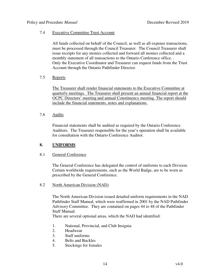#### 7.4 Executive Committee Trust Account

All funds collected on behalf of the Council, as well as all expense transactions, must be processed through the Council Treasurer. The Council Treasurer shall issue receipts for any monies collected and forward all monies collected and a monthly statement of all transactions to the Ontario Conference office. . Only the Executive Coordinator and Treasurer can request funds from the Trust Account through the Ontario Pathfinder Director.

# 7.5 Reports

The Treasurer shall render financial statements to the Executive Committee at quarterly meetings. The Treasurer shall present an annual financial report at the OCPC Directors' meeting and annual Constituency meeting. The report should include the financial statements, notes and explanations.

#### 7.6 Audits

Financial statements shall be audited as required by the Ontario Conference Auditors. The Treasurer responsible for the year's operation shall be available for consultation with the Ontario Conference Auditor.

# **8. UNIFORMS**

#### 8.1 General Conference

The General Conference has delegated the control of uniforms to each Division. Certain worldwide requirements, such as the World Badge, are to be worn as prescribed by the General Conference.

#### 8.2 North American Division (NAD)

The North American Division issued detailed uniform requirements in the NAD Pathfinder Staff Manual, which were reaffirmed in 2001 by the NAD Pathfinder Advisory Committee. They are contained on pages 44 to 48 of the Pathfinder Staff Manual.

There are several optional areas, which the NAD had identified:

- 1. National, Provincial, and Club Insignia
- 2. Headwear
- 3. Staff uniforms
- 4. Belts and Buckles
- 5. Stockings for females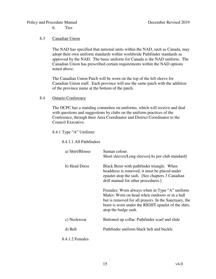6. Ties

#### 8.3 Canadian Union

The NAD has specified that national units within the NAD, such as Canada, may adopt their own uniform standards within worldwide Pathfinder standards as approved by the NAD. The basic uniform for Canada is the NAD uniform. The Canadian Union has prescribed certain requirements within the NAD options noted above.

The Canadian Union Patch will be worn on the top of the left sleeve for Canadian Union staff. Each province will use the same patch with the addition of the province name at the bottom of the patch.

#### 8.4 Ontario Conference

The OCPC has a standing committee on uniforms, which will receive and deal with questions and suggestions by clubs on the uniform practices of the Conference, through their Area Coordinator and District Coordinator to the Council Executive.

8.4.1 Type "A" Uniform:

#### 8.4.1.1 All Pathfinders

| a) Shirt/Blouse | Suntan colour.<br>Short sleeves/Long sleeves[As per club standard]                                                                                                                                                                      |
|-----------------|-----------------------------------------------------------------------------------------------------------------------------------------------------------------------------------------------------------------------------------------|
| b) Head Dress   | Black Beret with pathfinder triangle. When<br>headdress is removed, it must be placed under<br>epaulet atop the sash. [See chapters 3 Canadian]<br>drill manual for other procedures.]                                                  |
|                 | Females: Worn always when in Type "A" uniform<br>Males: Worn on head when outdoors or in a hall<br>but is removed for all prayers. In the Sanctuary, the<br>beret is worn under the RIGHT epaulet of the shirt,<br>atop the badge sash. |
| c) Neckwear     | Buttoned up collar. Pathfinder scarf and slide                                                                                                                                                                                          |
| d) Belt         | Pathfinder uniform black belt and buckle                                                                                                                                                                                                |
| 8.4.1.2 Females |                                                                                                                                                                                                                                         |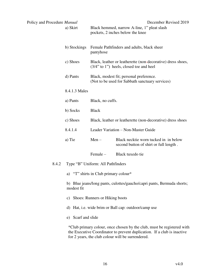| Policy and Procedure Manual | a) Skirt                                                                             |                                       | Black hemmed, narrow A-line, 1" pleat slash<br>pockets, 2 inches below the knee                                              | December Revised 2019                                                  |
|-----------------------------|--------------------------------------------------------------------------------------|---------------------------------------|------------------------------------------------------------------------------------------------------------------------------|------------------------------------------------------------------------|
|                             | b) Stockings                                                                         | pantyhose                             | Female Pathfinders and adults, black sheer                                                                                   |                                                                        |
|                             | c) Shoes                                                                             |                                       | $(3/4"$ to 1") heels, closed toe and heel                                                                                    | Black, leather or leatherette (non-decorative) dress shoes,            |
|                             | d) Pants                                                                             |                                       | Black, modest fit; personal preference.<br>(Not to be used for Sabbath sanctuary services)                                   |                                                                        |
|                             | 8.4.1.3 Males                                                                        |                                       |                                                                                                                              |                                                                        |
|                             | a) Pants                                                                             | Black, no cuffs.                      |                                                                                                                              |                                                                        |
|                             | b) Socks                                                                             | <b>Black</b>                          |                                                                                                                              |                                                                        |
|                             | c) Shoes                                                                             |                                       | Black, leather or leatherette (non-decorative) dress shoes                                                                   |                                                                        |
|                             | 8.4.1.4                                                                              |                                       | Leader Variation - Non-Master Guide                                                                                          |                                                                        |
|                             | a) Tie                                                                               | $Men -$                               | Black necktie worn tucked in in below<br>second button of shirt or full length.                                              |                                                                        |
|                             |                                                                                      | Female-                               | Black tuxedo tie                                                                                                             |                                                                        |
| 8.4.2                       |                                                                                      | Type "B" Uniform: All Pathfinders     |                                                                                                                              |                                                                        |
|                             |                                                                                      | a) "T" shirts in Club primary colour* |                                                                                                                              |                                                                        |
|                             | b) Blue jeans/long pants, culottes/gaucho/capri pants, Bermuda shorts;<br>modest fit |                                       |                                                                                                                              |                                                                        |
|                             | c) Shoes: Runners or Hiking boots                                                    |                                       |                                                                                                                              |                                                                        |
|                             | d) Hat, i.e. wide brim or Ball cap: outdoor/camp use                                 |                                       |                                                                                                                              |                                                                        |
|                             | e) Scarf and slide                                                                   |                                       |                                                                                                                              |                                                                        |
|                             |                                                                                      |                                       | the Executive Coordinator to prevent duplication. If a club is inactive<br>for 2 years, the club colour will be surrendered. | *Club primary colour, once chosen by the club, must be registered with |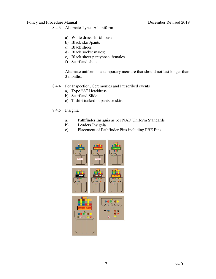- 8.4.3 Alternate Type "A" uniform
	- a) White dress shirt/blouse
	- b) Black skirt/pants
	- c) Black shoes
	- d) Black socks: males;
	- e) Black sheer pantyhose females
	- f) Scarf and slide

Alternate uniform is a temporary measure that should not last longer than 3 months.

- 8.4.4 For Inspection, Ceremonies and Prescribed events
	- a) Type "A" Headdress
	- b) Scarf and Slide
	- c) T-shirt tucked in pants or skirt

#### 8.4.5 Insignia

- a) Pathfinder Insignia as per NAD Uniform Standards
- b) Leaders Insignia
- c) Placement of Pathfinder Pins including PBE Pins

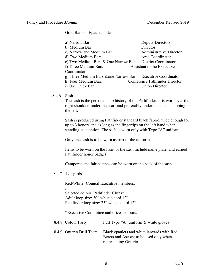Gold Bars on Epaulet slides

| a) Narrow Bar                                               | Deputy Directors               |
|-------------------------------------------------------------|--------------------------------|
| b) Medium Bar                                               | Director                       |
| c) Narrow and Medium Bar                                    | <b>Administrative Director</b> |
| d) Two Medium Bars                                          | Area Coordinator               |
| e) Two Medium Bars & One Narrow Bar                         | <b>District Coordinator</b>    |
| f) Three Medium Bars                                        | Assistant to the Executive     |
| Coordinator                                                 |                                |
| g) Three Medium Bars & one Narrow Bar Executive Coordinator |                                |
| h) Four Medium Bars                                         | Conference Pathfinder Director |
| i) One Thick Bar                                            | <b>Union Director</b>          |

# 8.4.6 Sash

The sash is the personal club history of the Pathfinder. It is worn over the right shoulder, under the scarf and preferably under the epaulet sloping to the left.

Sash is produced using Pathfinder standard black fabric, wide enough for up to 3 honors and as long as the fingertips on the left hand when standing at attention. The sash is worn only with Type "A" uniform.

Only one sash is to be worn as part of the uniform.

Items to be worn on the front of the sash include name plate, and earned Pathfinder honor badges.

Camporee and fair patches can be worn on the back of the sash.

8.4.7 Lanyards

Red/White- Council Executive members.

 . Selected colour: Pathfinder Clubs\*. Adult loop size: 30" whistle cord 12" Pathfinder loop size: 25" whistle cord 12"

\*Executive Committee authorizes colours.

| 8.4.8 Colour Party       | Full Type "A" uniform $\&$ white gloves                                                                       |
|--------------------------|---------------------------------------------------------------------------------------------------------------|
| 8.4.9 Ontario Drill Team | Black epaulets and white lanyards with Red<br>Berets and Ascots; to be used only when<br>representing Ontario |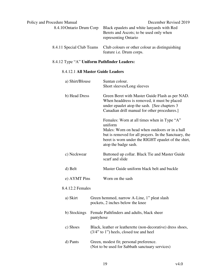| Policy and Procedure Manual | December Revised 2019                                                                                         |
|-----------------------------|---------------------------------------------------------------------------------------------------------------|
| 8.4.10 Ontario Drum Corp    | Black epaulets and white lanyards with Red<br>Berets and Ascots; to be used only when<br>representing Ontario |
| 8.4.11 Special Club Teams   | Club colours or other colour as distinguishing<br>feature <i>i.e.</i> Drum corps.                             |

# 8.4.12 Type "A" **Uniform Pathfinder Leaders:**

# 8.4.12.1 **All Master Guide Leaders**

| a) Shirt/Blouse  | Suntan colour.<br>Short sleeves/Long sleeves                                                                                                                                                                                                     |  |  |
|------------------|--------------------------------------------------------------------------------------------------------------------------------------------------------------------------------------------------------------------------------------------------|--|--|
| b) Head Dress    | Green Beret with Master Guide Flash as per NAD.<br>When headdress is removed, it must be placed<br>under epaulet atop the sash. [See chapters 3<br>Canadian drill manual for other procedures.]                                                  |  |  |
|                  | Females: Worn at all times when in Type "A"<br>uniform<br>Males: Worn on head when outdoors or in a hall<br>but is removed for all prayers. In the Sanctuary, the<br>beret is worn under the RIGHT epaulet of the shirt,<br>atop the badge sash. |  |  |
| c) Neckwear      | Buttoned up collar. Black Tie and Master Guide<br>scarf and slide                                                                                                                                                                                |  |  |
| d) Belt          | Master Guide uniform black belt and buckle                                                                                                                                                                                                       |  |  |
| e) AYMT Pins     | Worn on the sash                                                                                                                                                                                                                                 |  |  |
| 8.4.12.2 Females |                                                                                                                                                                                                                                                  |  |  |
| a) Skirt         | Green hemmed, narrow A-Line, 1" pleat slash<br>pockets, 2 inches below the knee                                                                                                                                                                  |  |  |
| b) Stockings     | Female Pathfinders and adults, black sheer<br>pantyhose                                                                                                                                                                                          |  |  |
| c) Shoes         | Black, leather or leatherette (non-decorative) dress shoes,<br>$(3/4"$ to 1") heels, closed toe and heel                                                                                                                                         |  |  |
| d) Pants         | Green, modest fit; personal preference.<br>(Not to be used for Sabbath sanctuary services)                                                                                                                                                       |  |  |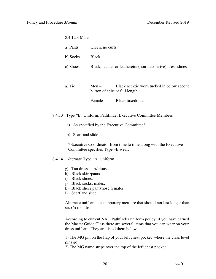#### 8.4.12.3 Males

|          | a) Pants                                                             | Green, no cuffs. |                                                                              |  |
|----------|----------------------------------------------------------------------|------------------|------------------------------------------------------------------------------|--|
|          | b) Socks                                                             | <b>Black</b>     |                                                                              |  |
| c) Shoes |                                                                      |                  | Black, leather or leatherette (non-decorative) dress shoes                   |  |
|          |                                                                      |                  |                                                                              |  |
|          | a) Tie                                                               | $Men -$          | Black necktie worn tucked in below second<br>button of shirt or full length. |  |
|          |                                                                      | $Female -$       | Black tuxedo tie                                                             |  |
|          | 8.4.13 Type "B" Uniform: Pathfinder Executive Committee Members      |                  |                                                                              |  |
|          | As specified by the Executive Committee*<br>a)<br>b) Scarf and slide |                  |                                                                              |  |
|          |                                                                      |                  |                                                                              |  |

\*Executive Coordinator from time to time along with the Executive Committee specifies Type –B wear.

#### 8.4.14 Alternate Type "A" uniform

- g) Tan dress shirt/blouse
- h) Black skirt/pants
- i) Black shoes:
- j) Black socks: males;
- k) Black sheer pantyhose females
- l) Scarf and slide

Alternate uniform is a temporary measure that should not last longer than  $six(6)$  months.

 According to current NAD Pathfinder uniform policy, if you have earned the Master Guide Class there are several items that you can wear on your dress uniform. They are listed them below:

1) The MG pin on the flap of your left chest pocket where the class level pins go.

2) The MG name stripe over the top of the left chest pocket.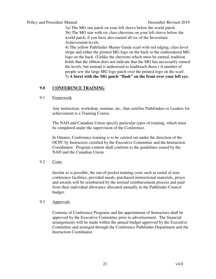3a) The MG star patch on your left sleeve below the world patch. 3b) The MG star with six class chevrons on your left sleeve below the world patch, if you have also earned all six of the Investiture Achievement levels.

4) The yellow Pathfinder Master Guide scarf with red edging, class level stripe and either the printed MG logo on the back or the embroidered MG logo on the back. (Unlike the chevrons which must be earned, tradition holds that the ribbon does not indicate that the MG has necessarily earned the levels, but instead is authorized to lead/teach them.) A number of people sew the large MG logo patch over the printed logo on the scarf. 5**) A beret with the MG patch "flash" on the front over your left eye.**

# **9.0 CONFERENCE TRAINING**

# 9.1 Framework

Any instruction, workshop, seminar, etc., that certifies Pathfinders or Leaders for achievement is a Training Course.

The NAD and Canadian Union specify particular types of training, which must be completed under the supervision of the Conference.

In Ontario, Conference training is to be carried out under the direction of the OCPC by Instructors certified by the Executive Committee and the Instruction Coordinator. Program content shall conform to the guidelines issued by the NAD and the Canadian Union.

# 9.2 Costs

Insofar as is possible, the out-of-pocket training costs such as rental of nonconference facilities, provided meals, purchased instructional materials, prizes and awards will be reimbursed by the normal reimbursement process and paid from their individual allowance allocated annually in the Pathfinder Council budget.

# 9.3 Approvals

Contents of Conference Programs and the appointment of Instructors shall be approved by the Executive Committee prior to advertisement. The financial arrangements will be made within the annual budget approved by the Executive Committee and arranged through the Conference Pathfinder Department and the Instruction Coordinator.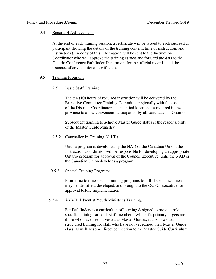# 9.4 Record of Achievements

At the end of each training session, a certificate will be issued to each successful participant showing the details of the training content, time of instruction, and instructor(s). A copy of this information will be sent to the Instruction Coordinator who will approve the training earned and forward the data to the Ontario Conference Pathfinder Department for the official records, and the issuance of any additional certificates.

# 9.5 Training Programs

# 9.5.1 Basic Staff Training

The ten (10) hours of required instruction will be delivered by the Executive Committee Training Committee regionally with the assistance of the Districts Coordinators to specified locations as required in the province to allow convenient participation by all candidates in Ontario.

Subsequent training to achieve Master Guide status is the responsibility of the Master Guide Ministry

# 9.5.2 Counsellor-in-Training (C.I.T.)

Until a program is developed by the NAD or the Canadian Union, the Instruction Coordinator will be responsible for developing an appropriate Ontario program for approval of the Council Executive, until the NAD or the Canadian Union develops a program.

# 9.5.3 Special Training Programs

From time to time special training programs to fulfill specialized needs may be identified, developed, and brought to the OCPC Executive for approval before implementation.

# 9.5.4 AYMT(Adventist Youth Ministries Training)

For Pathfinders is a curriculum of learning designed to provide role specific training for adult staff members. While it's primary targets are those who have been invested as Master Guides, it also provides structured training for staff who have not yet earned their Master Guide class, as well as some direct connection to the Master Guide Curriculum.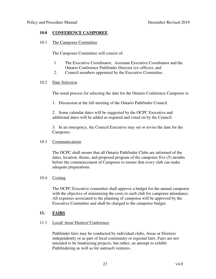# **10.0 CONFERENCE CAMPOREE**

10.1 The Camporee Committee

The Camporee Committee will consist of:

- 1. The Executive Coordinator, Assistant Executive Coordinator and the Ontario Conference Pathfinder Director (ex-officio); and
- 2. Council members appointed by the Executive Committee.

#### 10.2 Date Selection

The usual process for selecting the date for the Ontario Conference Camporee is:

1. Discussion at the fall meeting of the Ontario Pathfinder Council.

2. Some calendar dates will be suggested by the OCPC Executive and additional dates will be added as required and voted on by the Council.

3. In an emergency, the Council Executive may set or revise the date for the Camporee.

#### 10.3 Communications

The OCPC shall ensure that all Ontario Pathfinder Clubs are informed of the dates, location, theme, and proposed program of the camporee five (5) months before the commencement of Camporee to ensure that every club can make adequate preparations.

# 10.4 Costing

The OCPC Executive committee shall approve a budget for the annual camporee with the objective of minimizing the costs to each club for camporee attendance. All expenses associated to the planning of camporee will be approved by the Executive Committee and shall be charged to the camporee budget.

# **11. FAIRS**

# 11.1 Local/ Area/ District/ Conference

Pathfinder fairs may be conducted by individual clubs, Areas or Districts independently or as part of local community or regional fairs. Fairs are not intended to be fundraising projects, but rather, an attempt to exhibit Pathfindering as well as for outreach ventures.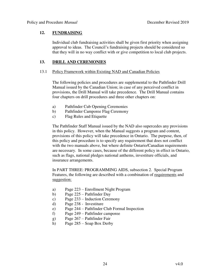# **12. FUNDRAISING**

Individual club fundraising activities shall be given first priority when assigning approval to ideas. The Council's fundraising projects should be considered so that they will in no way conflict with or give competition to local club projects.

# **13. DRILL AND CEREMONIES**

#### 13.1 Policy Framework within Existing NAD and Canadian Policies

The following policies and procedures are supplemental to the Pathfinder Drill Manual issued by the Canadian Union; in case of any perceived conflict in provisions, the Drill Manual will take precedence. The Drill Manual contains four chapters on drill procedures and three other chapters on:

- a) Pathfinder Cub Opening Ceremonies
- b) Pathfinder Camporee Flag Ceremony
- c) Flag Rules and Etiquette

The Pathfinder Staff Manual issued by the NAD also supercedes any provisions in this policy. However, when the Manual suggests a program and content, provisions of this policy will take precedence in Ontario. The purpose, then, of this policy and procedure is to specify any requirement that does not conflict with the two manuals above, but where definite Ontario/Canadian requirements are necessary. In some cases, because of the different policy in effect in Ontario, such as flags, national pledges national anthems, investiture officials, and insurance arrangements.

In PART THREE: PROGRAMMING AIDS, subsection 2. Special Program Features, the following are described with a combination of requirements and suggestion:

- a) Page 223 Enrollment Night Program
- b) Page 225 Pathfinder Day
- c) Page 233 Induction Ceremony
- d) Page 238 Investiture
- e) Page 244 Pathfinder Club Formal Inspection
- f) Page 249 Pathfinder camporee
- g) Page 267 Pathfinder Fair
- h) Page 285 Soap Box Derby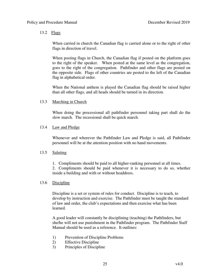# 13.2 Flags

When carried in church the Canadian flag is carried alone or to the right of other flags in direction of travel.

When posting flags in Church, the Canadian flag if posted on the platform goes to the right of the speaker. When posted at the same level as the congregation, goes to the right of the congregation. Pathfinder and other flags are posted on the opposite side. Flags of other countries are posted to the left of the Canadian flag in alphabetical order.

When the National anthem is played the Canadian flag should be raised higher than all other flags, and all heads should be turned in its direction.

# 13.3 Marching in Church

When doing the processional all pathfinder personnel taking part shall do the slow march. The recessional shall be quick march.

# 13.4 Law and Pledge

Whenever and wherever the Pathfinder Law and Pledge is said, all Pathfinder personnel will be at the attention position with no hand movements.

# 13.5 Saluting

1. Compliments should be paid to all higher-ranking personnel at all times.

2. Compliments should be paid whenever it is necessary to do so, whether inside a building and with or without headdress.

# 13.6 Discipline

Discipline is a set or system of rules for conduct. Discipline is to teach, to develop by instruction and exercise. The Pathfinder must be taught the standard of law and order, the club's expectations and then exercise what has been learned.

A good leader will constantly be disciplining (teaching) the Pathfinders, but she/he will not use punishment in the Pathfinder program. The Pathfinder Staff Manual should be used as a reference. It outlines:

- 1) Prevention of Discipline Problems
- 2) Effective Discipline
- 3) Principles of Discipline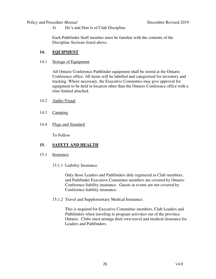4) Do's and Don'ts of Club Discipline

Each Pathfinder Staff member must be familiar with the contents of the Discipline Sections listed above.

# **14. EQUIPMENT**

14.1 Storage of Equipment

 All Ontario Conference Pathfinder equipment shall be stored at the Ontario Conference office. All items will be labelled and categorized for inventory and tracking. Where necessary, the Executive Committee may give approval for equipment to be held in location other than the Ontario Conference office with a time limited attached.

- 14.2 Audio-Visual
- 14.3 Camping
- 14.4 Flags and Standard

To Follow

# 15. **SAFETY AND HEALTH**

- 15.1 Insurance
	- 15.1.1 Liability Insurance.

Only those Leaders and Pathfinders duly registered as Club members, and Pathfinder Executive Committee members are covered by Ontario Conference liability insurance. Guests at events are not covered by Conference liability insurance.

15.1.2 Travel and Supplementary Medical Insurance.

This is required for Executive Committee members, Club Leaders and Pathfinders when traveling to program activities out of the province Ontario. Clubs must arrange their own travel and medical insurance for Leaders and Pathfinders.